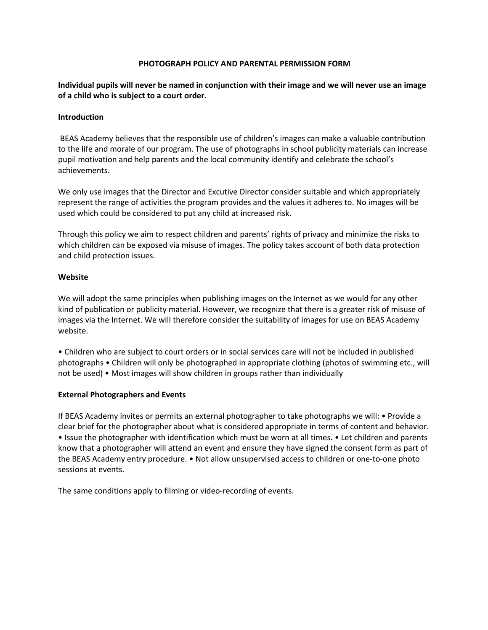### **PHOTOGRAPH POLICY AND PARENTAL PERMISSION FORM**

**Individual pupils will never be named in conjunction with their image and we will never use an image of a child who is subject to a court order.**

## **Introduction**

BEAS Academy believes that the responsible use of children's images can make a valuable contribution to the life and morale of our program. The use of photographs in school publicity materials can increase pupil motivation and help parents and the local community identify and celebrate the school's achievements.

We only use images that the Director and Excutive Director consider suitable and which appropriately represent the range of activities the program provides and the values it adheres to. No images will be used which could be considered to put any child at increased risk.

Through this policy we aim to respect children and parents' rights of privacy and minimize the risks to which children can be exposed via misuse of images. The policy takes account of both data protection and child protection issues.

### **Website**

We will adopt the same principles when publishing images on the Internet as we would for any other kind of publication or publicity material. However, we recognize that there is a greater risk of misuse of images via the Internet. We will therefore consider the suitability of images for use on BEAS Academy website.

• Children who are subject to court orders or in social services care will not be included in published photographs • Children will only be photographed in appropriate clothing (photos of swimming etc., will not be used) • Most images will show children in groups rather than individually

#### **External Photographers and Events**

If BEAS Academy invites or permits an external photographer to take photographs we will: • Provide a clear brief for the photographer about what is considered appropriate in terms of content and behavior. • Issue the photographer with identification which must be worn at all times. • Let children and parents know that a photographer will attend an event and ensure they have signed the consent form as part of the BEAS Academy entry procedure. • Not allow unsupervised access to children or one-to-one photo sessions at events.

The same conditions apply to filming or video-recording of events.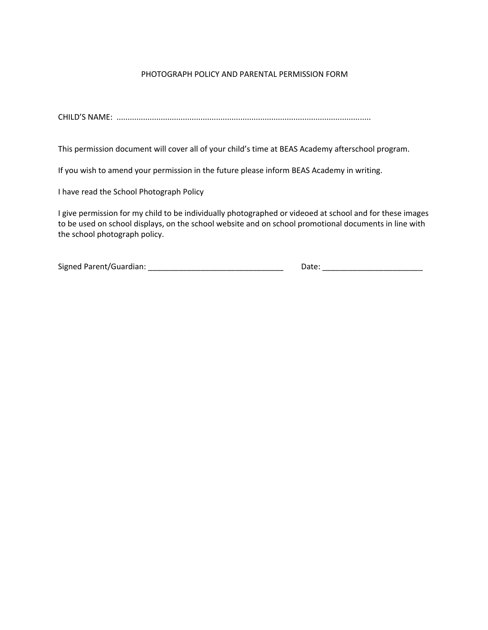# PHOTOGRAPH POLICY AND PARENTAL PERMISSION FORM

CHILD'S NAME: ...................................................................................................................

This permission document will cover all of your child's time at BEAS Academy afterschool program.

If you wish to amend your permission in the future please inform BEAS Academy in writing.

I have read the School Photograph Policy

I give permission for my child to be individually photographed or videoed at school and for these images to be used on school displays, on the school website and on school promotional documents in line with the school photograph policy.

Signed Parent/Guardian: \_\_\_\_\_\_\_\_\_\_\_\_\_\_\_\_\_\_\_\_\_\_\_\_\_\_\_\_\_\_\_ Date: \_\_\_\_\_\_\_\_\_\_\_\_\_\_\_\_\_\_\_\_\_\_\_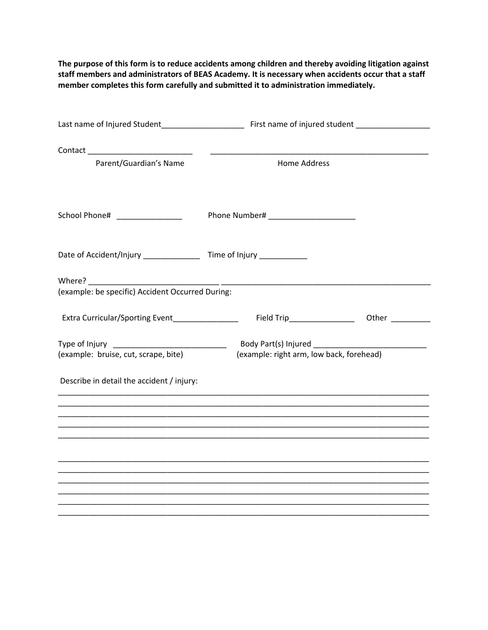**The purpose of this form is to reduce accidents among children and thereby avoiding litigation against staff members and administrators of BEAS Academy. It is necessary when accidents occur that a staff member completes this form carefully and submitted it to administration immediately.**

| Parent/Guardian's Name                                                           | <b>Home Address</b>                                                                                                   |  |  |
|----------------------------------------------------------------------------------|-----------------------------------------------------------------------------------------------------------------------|--|--|
| School Phone# _______________                                                    |                                                                                                                       |  |  |
| Date of Accident/Injury _______________________ Time of Injury _________________ |                                                                                                                       |  |  |
| (example: be specific) Accident Occurred During:                                 |                                                                                                                       |  |  |
| Extra Curricular/Sporting Event                                                  |                                                                                                                       |  |  |
| (example: bruise, cut, scrape, bite)                                             | (example: right arm, low back, forehead)                                                                              |  |  |
| Describe in detail the accident / injury:                                        |                                                                                                                       |  |  |
|                                                                                  | <u> 1989 - Johann Harry Harry Harry Harry Harry Harry Harry Harry Harry Harry Harry Harry Harry Harry Harry Harry</u> |  |  |
|                                                                                  |                                                                                                                       |  |  |
|                                                                                  |                                                                                                                       |  |  |
|                                                                                  |                                                                                                                       |  |  |
|                                                                                  |                                                                                                                       |  |  |